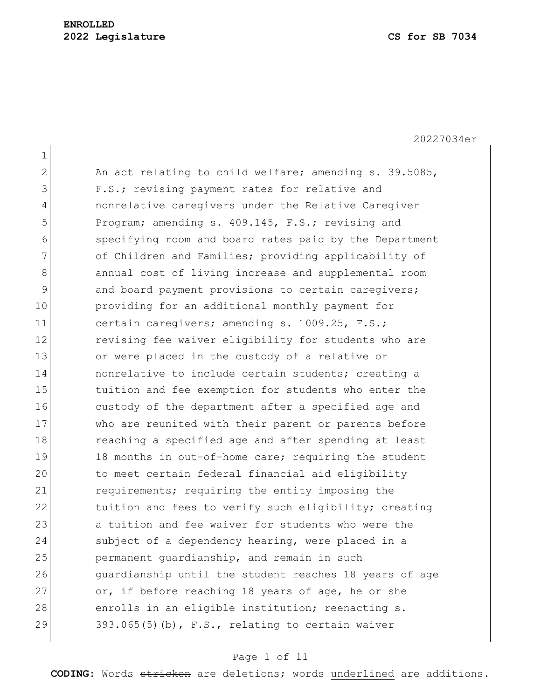1 2 An act relating to child welfare; amending s. 39.5085, 3 F.S.; revising payment rates for relative and 4 nonrelative caregivers under the Relative Caregiver 5 Program; amending s. 409.145, F.S.; revising and 6 specifying room and board rates paid by the Department 7 of Children and Families; providing applicability of 8 8 annual cost of living increase and supplemental room 9 and board payment provisions to certain caregivers; 10 providing for an additional monthly payment for 11 certain caregivers; amending s. 1009.25, F.S.; 12 revising fee waiver eligibility for students who are 13 or were placed in the custody of a relative or 14 **nonrelative to include certain students;** creating a 15 15 tuition and fee exemption for students who enter the 16 custody of the department after a specified age and 17 who are reunited with their parent or parents before 18 reaching a specified age and after spending at least 19 18 months in out-of-home care; requiring the student 20 to meet certain federal financial aid eligibility 21 requirements; requiring the entity imposing the 22 tuition and fees to verify such eligibility; creating 23 a tuition and fee waiver for students who were the 24 subject of a dependency hearing, were placed in a 25 permanent guardianship, and remain in such 26 guardianship until the student reaches 18 years of age 27 or, if before reaching 18 years of age, he or she 28 enrolls in an eligible institution; reenacting s. 29  $393.065(5)(b)$ , F.S., relating to certain waiver

### Page 1 of 11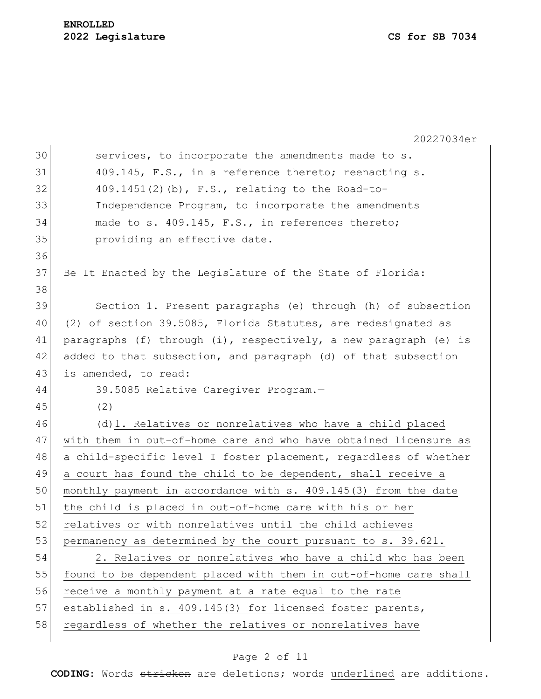20227034er 30 services, to incorporate the amendments made to s.  $31$  409.145, F.S., in a reference thereto; reenacting s.  $32$  409.1451(2)(b), F.S., relating to the Road-to-33 Independence Program, to incorporate the amendments 34 made to s. 409.145, F.S., in references thereto; 35 **providing an effective date.** 36 37 Be It Enacted by the Legislature of the State of Florida: 38 39 Section 1. Present paragraphs (e) through (h) of subsection 40 (2) of section 39.5085, Florida Statutes, are redesignated as 41 paragraphs (f) through (i), respectively, a new paragraph (e) is 42 added to that subsection, and paragraph (d) of that subsection 43 is amended, to read: 44 39.5085 Relative Caregiver Program.— 45 (2) 46 (d)1. Relatives or nonrelatives who have a child placed 47 with them in out-of-home care and who have obtained licensure as 48 a child-specific level I foster placement, regardless of whether 49 a court has found the child to be dependent, shall receive a 50 monthly payment in accordance with s. 409.145(3) from the date 51 the child is placed in out-of-home care with his or her 52 relatives or with nonrelatives until the child achieves 53 permanency as determined by the court pursuant to s. 39.621. 54 2. Relatives or nonrelatives who have a child who has been 55 found to be dependent placed with them in out-of-home care shall 56 receive a monthly payment at a rate equal to the rate 57 established in s. 409.145(3) for licensed foster parents, 58 regardless of whether the relatives or nonrelatives have

#### Page 2 of 11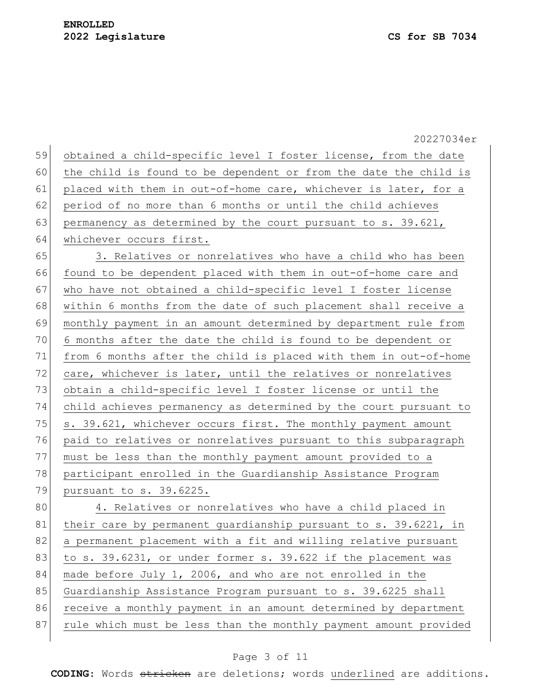|    | 20227034er                                                       |
|----|------------------------------------------------------------------|
| 59 | obtained a child-specific level I foster license, from the date  |
| 60 | the child is found to be dependent or from the date the child is |
| 61 | placed with them in out-of-home care, whichever is later, for a  |
| 62 | period of no more than 6 months or until the child achieves      |
| 63 | permanency as determined by the court pursuant to s. 39.621,     |
| 64 | whichever occurs first.                                          |
| 65 | 3. Relatives or nonrelatives who have a child who has been       |
| 66 | found to be dependent placed with them in out-of-home care and   |
| 67 | who have not obtained a child-specific level I foster license    |
| 68 | within 6 months from the date of such placement shall receive a  |
| 69 | monthly payment in an amount determined by department rule from  |
| 70 | 6 months after the date the child is found to be dependent or    |
| 71 | from 6 months after the child is placed with them in out-of-home |
| 72 | care, whichever is later, until the relatives or nonrelatives    |
| 73 | obtain a child-specific level I foster license or until the      |
| 74 | child achieves permanency as determined by the court pursuant to |
| 75 | s. 39.621, whichever occurs first. The monthly payment amount    |
| 76 | paid to relatives or nonrelatives pursuant to this subparagraph  |
| 77 | must be less than the monthly payment amount provided to a       |
| 78 | participant enrolled in the Guardianship Assistance Program      |
| 79 | pursuant to s. 39.6225.                                          |
| 80 | 4. Relatives or nonrelatives who have a child placed in          |
| 81 | their care by permanent quardianship pursuant to s. 39.6221, in  |
| 82 | a permanent placement with a fit and willing relative pursuant   |
| 83 | to s. 39.6231, or under former s. 39.622 if the placement was    |
| 84 | made before July 1, 2006, and who are not enrolled in the        |
| 85 | Guardianship Assistance Program pursuant to s. 39.6225 shall     |
| 86 | receive a monthly payment in an amount determined by department  |
| 87 | rule which must be less than the monthly payment amount provided |
|    |                                                                  |

# Page 3 of 11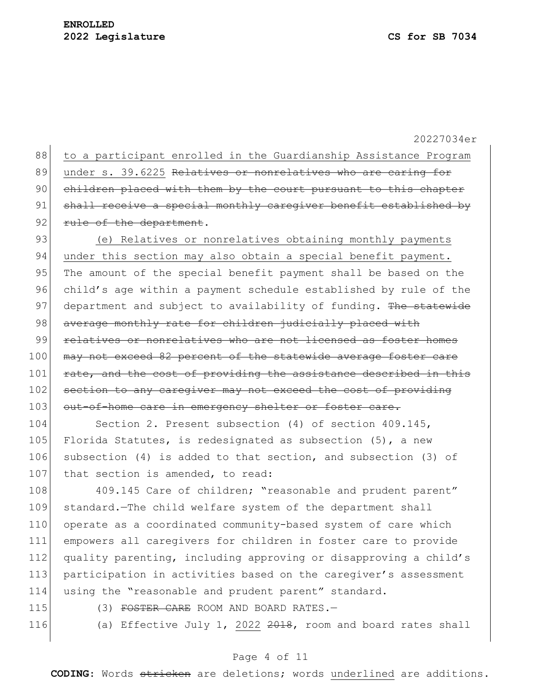88 to a participant enrolled in the Guardianship Assistance Program 89 under s. 39.6225 Relatives or nonrelatives who are caring for 90 children placed with them by the court pursuant to this chapter 91 shall receive a special monthly caregiver benefit established by 92 rule of the department. 93 (e) Relatives or nonrelatives obtaining monthly payments 94 under this section may also obtain a special benefit payment. 95 The amount of the special benefit payment shall be based on the 96 child's age within a payment schedule established by rule of the 97 department and subject to availability of funding. The statewide 98 average monthly rate for children judicially placed with 99 relatives or nonrelatives who are not licensed as foster homes

100 may not exceed 82 percent of the statewide average foster care 101 rate, and the cost of providing the assistance described in this 102 section to any caregiver may not exceed the cost of providing 103 out-of-home care in emergency shelter or foster care.

104 Section 2. Present subsection (4) of section 409.145, 105 Florida Statutes, is redesignated as subsection  $(5)$ , a new 106 subsection (4) is added to that section, and subsection (3) of 107 that section is amended, to read:

108 409.145 Care of children; "reasonable and prudent parent" 109 standard.—The child welfare system of the department shall 110 operate as a coordinated community-based system of care which 111 empowers all caregivers for children in foster care to provide 112 quality parenting, including approving or disapproving a child's 113 participation in activities based on the caregiver's assessment 114 using the "reasonable and prudent parent" standard.

115 (3) FOSTER CARE ROOM AND BOARD RATES.-

116 (a) Effective July 1, 2022 2018, room and board rates shall

#### Page 4 of 11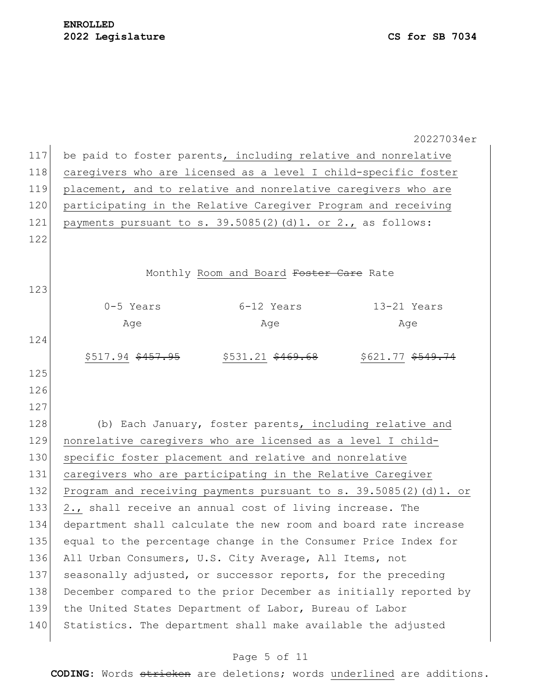|     | 20227034er                                                                 |
|-----|----------------------------------------------------------------------------|
| 117 | be paid to foster parents, including relative and nonrelative              |
| 118 | caregivers who are licensed as a level I child-specific foster             |
| 119 | placement, and to relative and nonrelative caregivers who are              |
| 120 | participating in the Relative Caregiver Program and receiving              |
| 121 | payments pursuant to s. 39.5085(2)(d)1. or 2., as follows:                 |
| 122 |                                                                            |
|     |                                                                            |
|     | Monthly Room and Board Foster Care Rate                                    |
| 123 |                                                                            |
|     | 6-12 Years<br>13-21 Years<br>0-5 Years                                     |
|     | Age<br>Age<br>Age                                                          |
| 124 |                                                                            |
|     | $$517.94$ $$457.95$<br>$$531.21$ $$469.68$<br>\$621.77 <del>\$549.74</del> |
| 125 |                                                                            |
| 126 |                                                                            |
| 127 |                                                                            |
| 128 | (b) Each January, foster parents, including relative and                   |
| 129 | nonrelative caregivers who are licensed as a level I child-                |
| 130 | specific foster placement and relative and nonrelative                     |
| 131 | caregivers who are participating in the Relative Caregiver                 |
| 132 | Program and receiving payments pursuant to s. 39.5085(2)(d)1. or           |
| 133 | 2., shall receive an annual cost of living increase. The                   |
| 134 | department shall calculate the new room and board rate increase            |
| 135 | equal to the percentage change in the Consumer Price Index for             |
| 136 | All Urban Consumers, U.S. City Average, All Items, not                     |
| 137 | seasonally adjusted, or successor reports, for the preceding               |
| 138 | December compared to the prior December as initially reported by           |
| 139 | the United States Department of Labor, Bureau of Labor                     |
| 140 | Statistics. The department shall make available the adjusted               |
|     |                                                                            |

# Page 5 of 11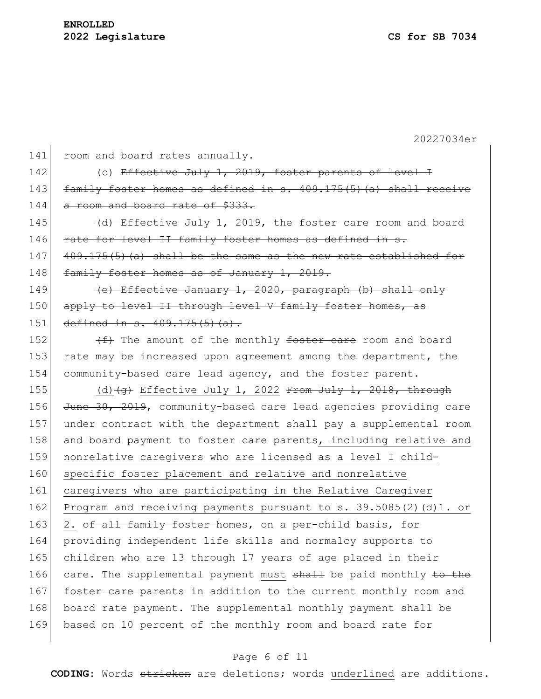| 141 | room and board rates annually.                                                              |
|-----|---------------------------------------------------------------------------------------------|
| 142 | (c) Effective July 1, 2019, foster parents of level I                                       |
| 143 | family foster homes as defined in s. $409.175(5)$ (a) shall receive                         |
| 144 | a room and board rate of \$333.                                                             |
| 145 | (d) Effective July 1, 2019, the foster care room and board                                  |
| 146 | rate for level II family foster homes as defined in s.                                      |
| 147 | 409.175(5)(a) shall be the same as the new rate established for                             |
| 148 | family foster homes as of January 1, 2019.                                                  |
| 149 | (e) Effective January 1, 2020, paragraph (b) shall only                                     |
| 150 | apply to level II through level V family foster homes, as                                   |
| 151 | defined in $s. 409.175(5)$ (a).                                                             |
| 152 | (f) The amount of the monthly foster care room and board                                    |
| 153 | rate may be increased upon agreement among the department, the                              |
| 154 | community-based care lead agency, and the foster parent.                                    |
| 155 | (d) $\left(\frac{1}{9}\right)$ Effective July 1, 2022 <del>From July 1, 2018, through</del> |
| 156 | June 30, 2019, community-based care lead agencies providing care                            |
| 157 | under contract with the department shall pay a supplemental room                            |
| 158 | and board payment to foster eare parents, including relative and                            |
| 159 | nonrelative caregivers who are licensed as a level I child-                                 |
| 160 | specific foster placement and relative and nonrelative                                      |
| 161 | caregivers who are participating in the Relative Caregiver                                  |
| 162 | Program and receiving payments pursuant to s. $39.5085(2)$ (d) 1. or                        |
| 163 | 2. of all family foster homes, on a per-child basis, for                                    |
| 164 | providing independent life skills and normalcy supports to                                  |
| 165 | children who are 13 through 17 years of age placed in their                                 |
| 166 | care. The supplemental payment must shall be paid monthly to the                            |
| 167 | foster care parents in addition to the current monthly room and                             |
| 168 | board rate payment. The supplemental monthly payment shall be                               |
| 169 | based on 10 percent of the monthly room and board rate for                                  |
|     |                                                                                             |

# Page 6 of 11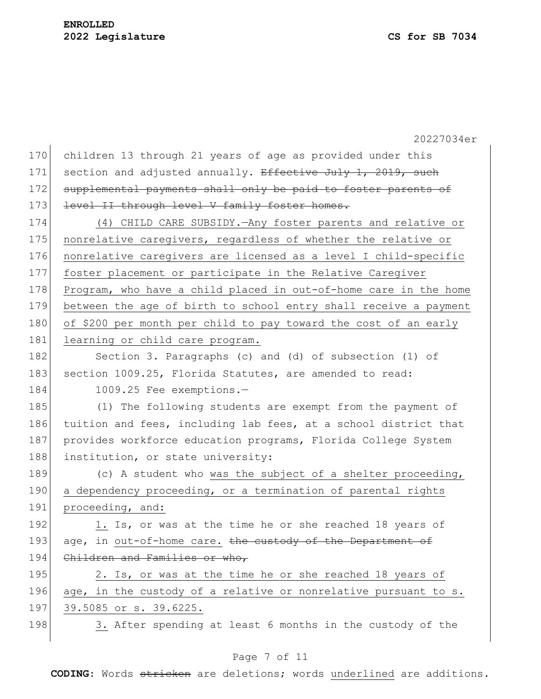20227034er 170 children 13 through 21 years of age as provided under this 171 section and adjusted annually. Effective July 1, 2019, such 172 supplemental payments shall only be paid to foster parents of 173 level II through level V family foster homes. 174 (4) CHILD CARE SUBSIDY.—Any foster parents and relative or 175 nonrelative caregivers, regardless of whether the relative or 176 nonrelative caregivers are licensed as a level I child-specific 177 foster placement or participate in the Relative Caregiver 178 Program, who have a child placed in out-of-home care in the home 179 between the age of birth to school entry shall receive a payment 180 of \$200 per month per child to pay toward the cost of an early 181 learning or child care program. 182 Section 3. Paragraphs (c) and (d) of subsection (1) of 183 section 1009.25, Florida Statutes, are amended to read: 184 1009.25 Fee exemptions.-185 (1) The following students are exempt from the payment of 186 tuition and fees, including lab fees, at a school district that 187 provides workforce education programs, Florida College System 188 institution, or state university: 189 (c) A student who was the subject of a shelter proceeding, 190 a dependency proceeding, or a termination of parental rights 191 proceeding, and: 192 1. Is, or was at the time he or she reached 18 years of 193 age, in out-of-home care. the custody of the Department of 194 Children and Families or who, 195 2. Is, or was at the time he or she reached 18 years of 196 age, in the custody of a relative or nonrelative pursuant to s. 197 39.5085 or s. 39.6225. 198 3. After spending at least 6 months in the custody of the

## Page 7 of 11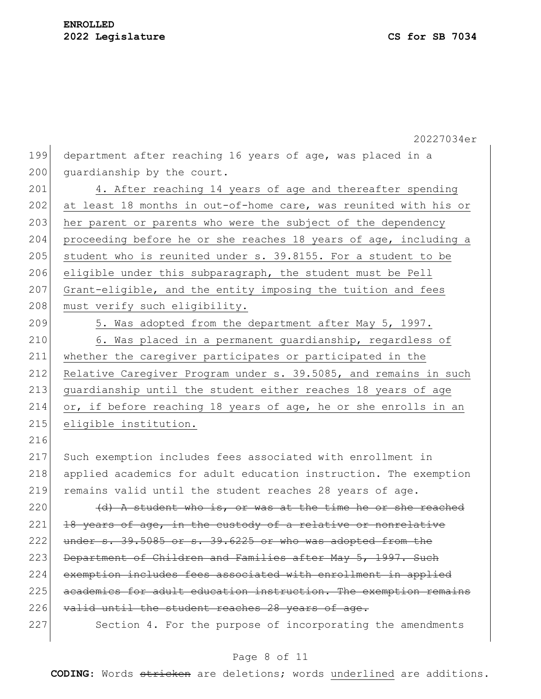199 department after reaching 16 years of age, was placed in a 200 quardianship by the court.

201 4. After reaching 14 years of age and thereafter spending 202 at least 18 months in out-of-home care, was reunited with his or 203 her parent or parents who were the subject of the dependency 204 proceeding before he or she reaches 18 years of age, including a 205 student who is reunited under s. 39.8155. For a student to be 206 eligible under this subparagraph, the student must be Pell 207 Grant-eligible, and the entity imposing the tuition and fees 208 must verify such eligibility.

216

209 5. Was adopted from the department after May 5, 1997. 210 6. Was placed in a permanent quardianship, regardless of 211 whether the caregiver participates or participated in the 212 Relative Caregiver Program under s. 39.5085, and remains in such 213 guardianship until the student either reaches 18 years of age 214 or, if before reaching 18 years of age, he or she enrolls in an 215 eligible institution.

217 Such exemption includes fees associated with enrollment in 218 applied academics for adult education instruction. The exemption 219 remains valid until the student reaches 28 years of age.  $220$  (d) A student who is, or was at the time he or she reached

 $221$  18 years of age, in the custody of a relative or nonrelative  $222$  under s. 39.5085 or s. 39.6225 or who was adopted from the 223 Department of Children and Families after May 5, 1997. Such 224 exemption includes fees associated with enrollment in applied 225 academics for adult education instruction. The exemption remains 226 valid until the student reaches 28 years of age.

227 Section 4. For the purpose of incorporating the amendments

## Page 8 of 11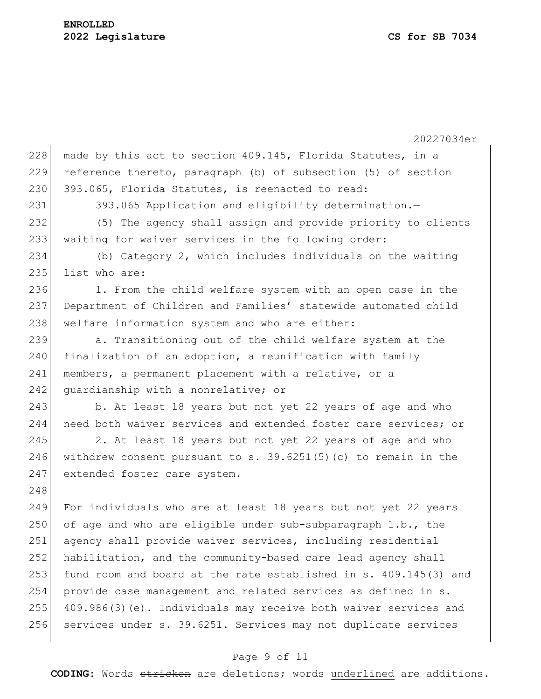20227034er 228 made by this act to section 409.145, Florida Statutes, in a 229 reference thereto, paragraph (b) of subsection (5) of section 230 393.065, Florida Statutes, is reenacted to read: 231 393.065 Application and eligibility determination.-232 (5) The agency shall assign and provide priority to clients 233 waiting for waiver services in the following order: 234 (b) Category 2, which includes individuals on the waiting 235 list who are: 236 1. From the child welfare system with an open case in the 237 Department of Children and Families' statewide automated child 238 welfare information system and who are either: 239 a. Transitioning out of the child welfare system at the  $240$  finalization of an adoption, a reunification with family 241 members, a permanent placement with a relative, or a 242 guardianship with a nonrelative; or 243 b. At least 18 years but not yet 22 years of age and who 244 need both waiver services and extended foster care services; or 245 2. At least 18 years but not yet 22 years of age and who 246 withdrew consent pursuant to s. 39.6251(5)(c) to remain in the 247 extended foster care system. 248 249 For individuals who are at least 18 years but not yet 22 years 250 of age and who are eligible under sub-subparagraph  $1.b.,$  the 251 agency shall provide waiver services, including residential 252 habilitation, and the community-based care lead agency shall 253 fund room and board at the rate established in s. 409.145(3) and 254 provide case management and related services as defined in s. 255 409.986(3)(e). Individuals may receive both waiver services and 256 services under s. 39.6251. Services may not duplicate services

## Page 9 of 11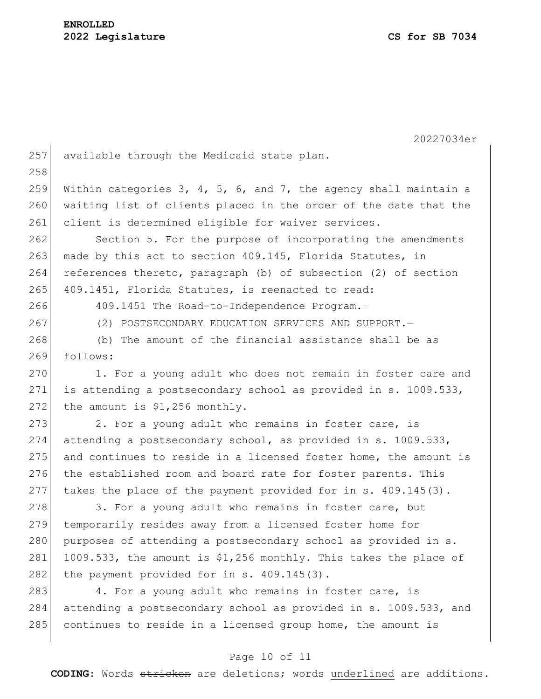20227034er 257 available through the Medicaid state plan. 258 259 Within categories 3, 4, 5, 6, and 7, the agency shall maintain a 260 waiting list of clients placed in the order of the date that the 261 client is determined eligible for waiver services. 262 Section 5. For the purpose of incorporating the amendments 263 made by this act to section 409.145, Florida Statutes, in 264 references thereto, paragraph (b) of subsection (2) of section 265 409.1451, Florida Statutes, is reenacted to read: 266 409.1451 The Road-to-Independence Program.— 267 (2) POSTSECONDARY EDUCATION SERVICES AND SUPPORT.— 268 (b) The amount of the financial assistance shall be as 269 follows: 270 1. For a young adult who does not remain in foster care and 271 is attending a postsecondary school as provided in s. 1009.533, 272 the amount is  $$1,256$  monthly. 273 2. For a young adult who remains in foster care, is 274 attending a postsecondary school, as provided in s. 1009.533, 275 and continues to reside in a licensed foster home, the amount is 276 the established room and board rate for foster parents. This 277 takes the place of the payment provided for in s. 409.145(3). 278 3. For a young adult who remains in foster care, but 279 temporarily resides away from a licensed foster home for 280 purposes of attending a postsecondary school as provided in s. 281 1009.533, the amount is  $$1,256$  monthly. This takes the place of 282 the payment provided for in  $s. 409.145(3)$ . 283 4. For a young adult who remains in foster care, is 284 attending a postsecondary school as provided in s. 1009.533, and 285 continues to reside in a licensed group home, the amount is

### Page 10 of 11